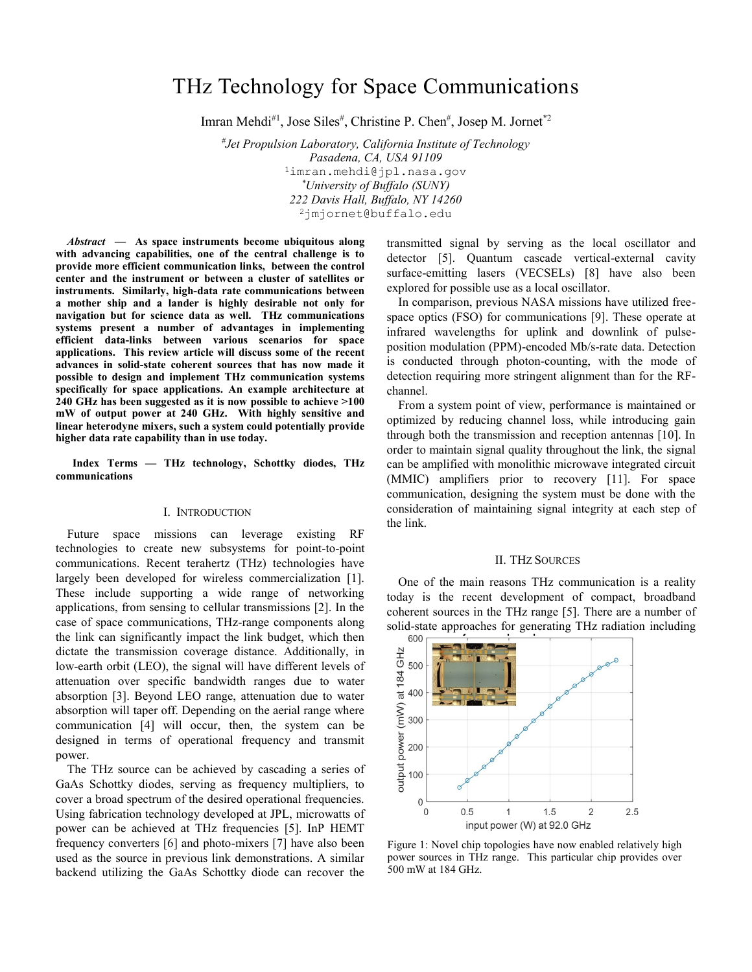# THz Technology for Space Communications

Imran Mehdi<sup>#1</sup>, Jose Siles<sup>#</sup>, Christine P. Chen<sup>#</sup>, Josep M. Jornet<sup>\*2</sup>

*# Jet Propulsion Laboratory, California Institute of Technology Pasadena, CA, USA 91109* <sup>1</sup>imran.mehdi@jpl.nasa.gov *\*University of Buffalo (SUNY) 222 Davis Hall, Buffalo, NY 14260* <sup>2</sup>jmjornet@buffalo.edu

*Abstract* **— As space instruments become ubiquitous along with advancing capabilities, one of the central challenge is to provide more efficient communication links, between the control center and the instrument or between a cluster of satellites or instruments. Similarly, high-data rate communications between a mother ship and a lander is highly desirable not only for navigation but for science data as well. THz communications systems present a number of advantages in implementing efficient data-links between various scenarios for space applications. This review article will discuss some of the recent advances in solid-state coherent sources that has now made it possible to design and implement THz communication systems specifically for space applications. An example architecture at 240 GHz has been suggested as it is now possible to achieve >100 mW of output power at 240 GHz. With highly sensitive and linear heterodyne mixers, such a system could potentially provide higher data rate capability than in use today.**

**Index Terms — THz technology, Schottky diodes, THz communications**

#### I. INTRODUCTION

Future space missions can leverage existing RF technologies to create new subsystems for point-to-point communications. Recent terahertz (THz) technologies have largely been developed for wireless commercialization [1]. These include supporting a wide range of networking applications, from sensing to cellular transmissions [2]. In the case of space communications, THz-range components along the link can significantly impact the link budget, which then dictate the transmission coverage distance. Additionally, in low-earth orbit (LEO), the signal will have different levels of attenuation over specific bandwidth ranges due to water absorption [3]. Beyond LEO range, attenuation due to water absorption will taper off. Depending on the aerial range where communication [4] will occur, then, the system can be designed in terms of operational frequency and transmit power.

The THz source can be achieved by cascading a series of GaAs Schottky diodes, serving as frequency multipliers, to cover a broad spectrum of the desired operational frequencies. Using fabrication technology developed at JPL, microwatts of power can be achieved at THz frequencies [5]. InP HEMT frequency converters [6] and photo-mixers [7] have also been used as the source in previous link demonstrations. A similar backend utilizing the GaAs Schottky diode can recover the

transmitted signal by serving as the local oscillator and detector [5]. Quantum cascade vertical-external cavity surface-emitting lasers (VECSELs) [8] have also been explored for possible use as a local oscillator.

In comparison, previous NASA missions have utilized freespace optics (FSO) for communications [9]. These operate at infrared wavelengths for uplink and downlink of pulseposition modulation (PPM)-encoded Mb/s-rate data. Detection is conducted through photon-counting, with the mode of detection requiring more stringent alignment than for the RFchannel.

From a system point of view, performance is maintained or optimized by reducing channel loss, while introducing gain through both the transmission and reception antennas [10]. In order to maintain signal quality throughout the link, the signal can be amplified with monolithic microwave integrated circuit (MMIC) amplifiers prior to recovery [11]. For space communication, designing the system must be done with the consideration of maintaining signal integrity at each step of the link.

#### II. THZ SOURCES

One of the main reasons THz communication is a reality today is the recent development of compact, broadband coherent sources in the THz range [5]. There are a number of solid-state approaches for generating THz radiation including



Figure 1: Novel chip topologies have now enabled relatively high power sources in THz range. This particular chip provides over 500 mW at 184 GHz.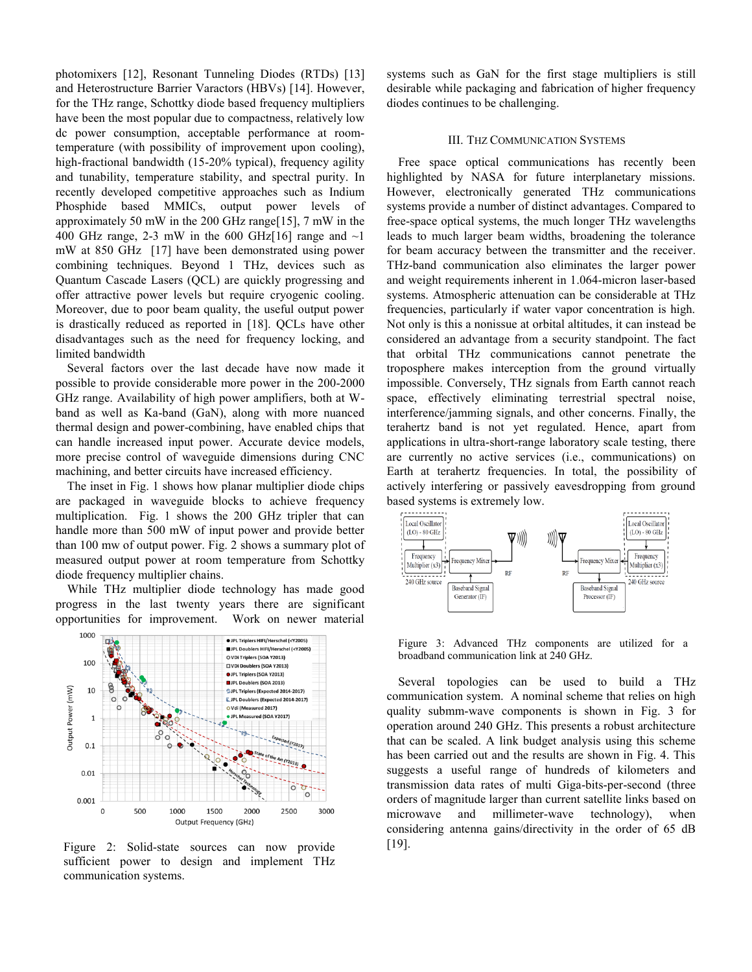photomixers [12], Resonant Tunneling Diodes (RTDs) [13] and Heterostructure Barrier Varactors (HBVs) [14]. However, for the THz range, Schottky diode based frequency multipliers have been the most popular due to compactness, relatively low dc power consumption, acceptable performance at roomtemperature (with possibility of improvement upon cooling), high-fractional bandwidth (15-20% typical), frequency agility and tunability, temperature stability, and spectral purity. In recently developed competitive approaches such as Indium Phosphide based MMICs, output power levels of approximately 50 mW in the 200 GHz range[15], 7 mW in the 400 GHz range, 2-3 mW in the 600 GHz $[16]$  range and  $\sim$ 1 mW at 850 GHz [17] have been demonstrated using power combining techniques. Beyond 1 THz, devices such as Quantum Cascade Lasers (QCL) are quickly progressing and offer attractive power levels but require cryogenic cooling. Moreover, due to poor beam quality, the useful output power is drastically reduced as reported in [18]. QCLs have other disadvantages such as the need for frequency locking, and limited bandwidth

Several factors over the last decade have now made it possible to provide considerable more power in the 200-2000 GHz range. Availability of high power amplifiers, both at Wband as well as Ka-band (GaN), along with more nuanced thermal design and power-combining, have enabled chips that can handle increased input power. Accurate device models, more precise control of waveguide dimensions during CNC machining, and better circuits have increased efficiency.

The inset in Fig. 1 shows how planar multiplier diode chips are packaged in waveguide blocks to achieve frequency multiplication. Fig. 1 shows the 200 GHz tripler that can handle more than 500 mW of input power and provide better than 100 mw of output power. Fig. 2 shows a summary plot of measured output power at room temperature from Schottky diode frequency multiplier chains.

While THz multiplier diode technology has made good progress in the last twenty years there are significant opportunities for improvement. Work on newer material



Figure 2: Solid-state sources can now provide sufficient power to design and implement THz communication systems.

systems such as GaN for the first stage multipliers is still desirable while packaging and fabrication of higher frequency diodes continues to be challenging.

# III. THZ COMMUNICATION SYSTEMS

Free space optical communications has recently been highlighted by NASA for future interplanetary missions. However, electronically generated THz communications systems provide a number of distinct advantages. Compared to free-space optical systems, the much longer THz wavelengths leads to much larger beam widths, broadening the tolerance for beam accuracy between the transmitter and the receiver. THz-band communication also eliminates the larger power and weight requirements inherent in 1.064-micron laser-based systems. Atmospheric attenuation can be considerable at THz frequencies, particularly if water vapor concentration is high. Not only is this a nonissue at orbital altitudes, it can instead be considered an advantage from a security standpoint. The fact that orbital THz communications cannot penetrate the troposphere makes interception from the ground virtually impossible. Conversely, THz signals from Earth cannot reach space, effectively eliminating terrestrial spectral noise, interference/jamming signals, and other concerns. Finally, the terahertz band is not yet regulated. Hence, apart from applications in ultra-short-range laboratory scale testing, there are currently no active services (i.e., communications) on Earth at terahertz frequencies. In total, the possibility of actively interfering or passively eavesdropping from ground based systems is extremely low.



Figure 3: Advanced THz components are utilized for a broadband communication link at 240 GHz.

Several topologies can be used to build a THz communication system. A nominal scheme that relies on high quality submm-wave components is shown in Fig. 3 for operation around 240 GHz. This presents a robust architecture that can be scaled. A link budget analysis using this scheme has been carried out and the results are shown in Fig. 4. This suggests a useful range of hundreds of kilometers and transmission data rates of multi Giga-bits-per-second (three orders of magnitude larger than current satellite links based on microwave and millimeter-wave technology), when considering antenna gains/directivity in the order of 65 dB [19].